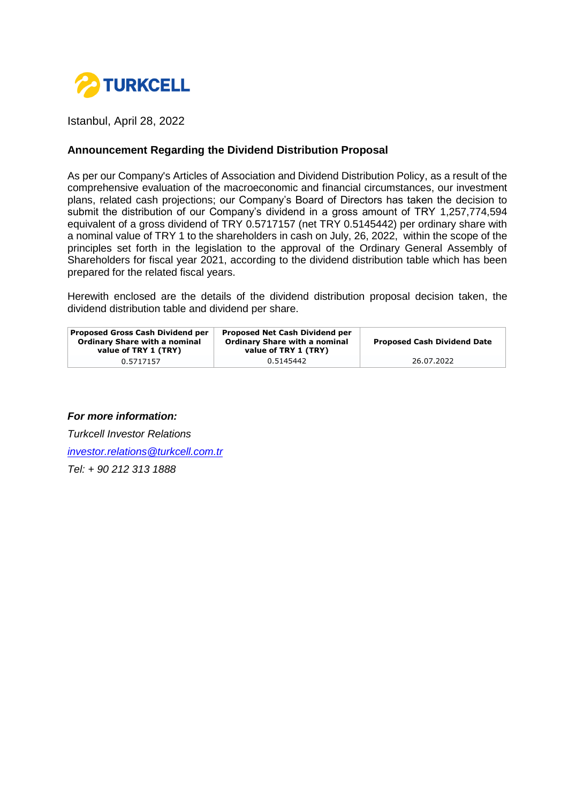

Istanbul, April 28, 2022

## **Announcement Regarding the Dividend Distribution Proposal**

As per our Company's Articles of Association and Dividend Distribution Policy, as a result of the comprehensive evaluation of the macroeconomic and financial circumstances, our investment plans, related cash projections; our Company's Board of Directors has taken the decision to submit the distribution of our Company's dividend in a gross amount of TRY 1,257,774,594 equivalent of a gross dividend of TRY 0.5717157 (net TRY 0.5145442) per ordinary share with a nominal value of TRY 1 to the shareholders in cash on July, 26, 2022, within the scope of the principles set forth in the legislation to the approval of the Ordinary General Assembly of Shareholders for fiscal year 2021, according to the dividend distribution table which has been prepared for the related fiscal years.

Herewith enclosed are the details of the dividend distribution proposal decision taken, the dividend distribution table and dividend per share.

| <b>Proposed Gross Cash Dividend per</b><br><b>Ordinary Share with a nominal</b><br>value of TRY 1 (TRY) | <b>Proposed Net Cash Dividend per</b><br><b>Ordinary Share with a nominal</b><br>value of TRY 1 (TRY) | <b>Proposed Cash Dividend Date</b> |
|---------------------------------------------------------------------------------------------------------|-------------------------------------------------------------------------------------------------------|------------------------------------|
| 0.5717157                                                                                               | 0.5145442                                                                                             | 26.07.2022                         |

## *For more information:*

*Turkcell Investor Relations [investor.relations@turkcell.com.tr](mailto:investor.relations@turkcell.com.tr)*

*Tel: + 90 212 313 1888*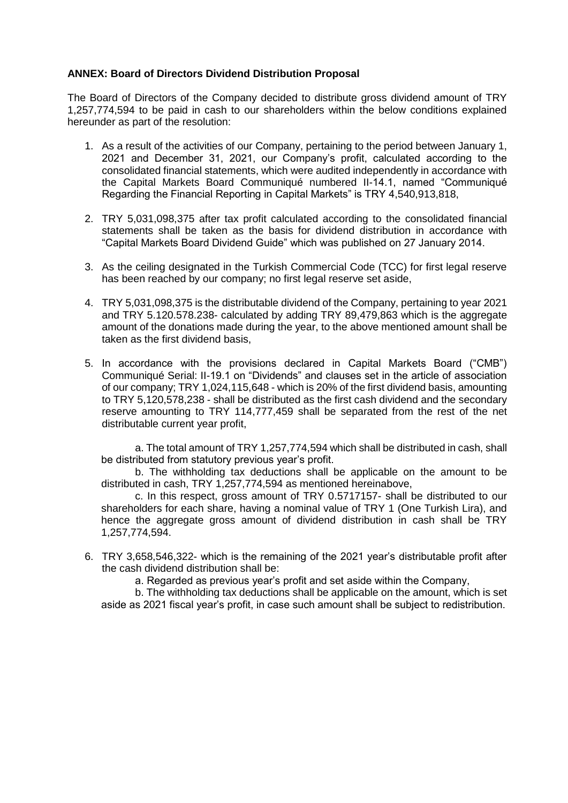## **ANNEX: Board of Directors Dividend Distribution Proposal**

The Board of Directors of the Company decided to distribute gross dividend amount of TRY 1,257,774,594 to be paid in cash to our shareholders within the below conditions explained hereunder as part of the resolution:

- 1. As a result of the activities of our Company, pertaining to the period between January 1, 2021 and December 31, 2021, our Company's profit, calculated according to the consolidated financial statements, which were audited independently in accordance with the Capital Markets Board Communiqué numbered II-14.1, named "Communiqué Regarding the Financial Reporting in Capital Markets" is TRY 4,540,913,818,
- 2. TRY 5,031,098,375 after tax profit calculated according to the consolidated financial statements shall be taken as the basis for dividend distribution in accordance with "Capital Markets Board Dividend Guide" which was published on 27 January 2014.
- 3. As the ceiling designated in the Turkish Commercial Code (TCC) for first legal reserve has been reached by our company; no first legal reserve set aside,
- 4. TRY 5,031,098,375 is the distributable dividend of the Company, pertaining to year 2021 and TRY 5.120.578.238- calculated by adding TRY 89,479,863 which is the aggregate amount of the donations made during the year, to the above mentioned amount shall be taken as the first dividend basis,
- 5. In accordance with the provisions declared in Capital Markets Board ("CMB") Communiqué Serial: II-19.1 on "Dividends" and clauses set in the article of association of our company; TRY 1,024,115,648 - which is 20% of the first dividend basis, amounting to TRY 5,120,578,238 - shall be distributed as the first cash dividend and the secondary reserve amounting to TRY 114,777,459 shall be separated from the rest of the net distributable current year profit,

a. The total amount of TRY 1,257,774,594 which shall be distributed in cash, shall be distributed from statutory previous year's profit.

b. The withholding tax deductions shall be applicable on the amount to be distributed in cash, TRY 1,257,774,594 as mentioned hereinabove,

c. In this respect, gross amount of TRY 0.5717157- shall be distributed to our shareholders for each share, having a nominal value of TRY 1 (One Turkish Lira), and hence the aggregate gross amount of dividend distribution in cash shall be TRY 1,257,774,594.

6. TRY 3,658,546,322- which is the remaining of the 2021 year's distributable profit after the cash dividend distribution shall be:

a. Regarded as previous year's profit and set aside within the Company,

b. The withholding tax deductions shall be applicable on the amount, which is set aside as 2021 fiscal year's profit, in case such amount shall be subject to redistribution.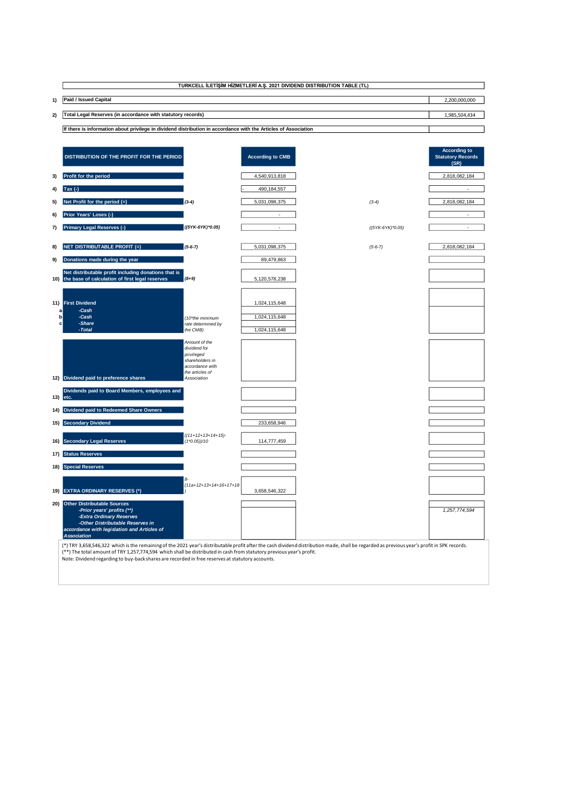